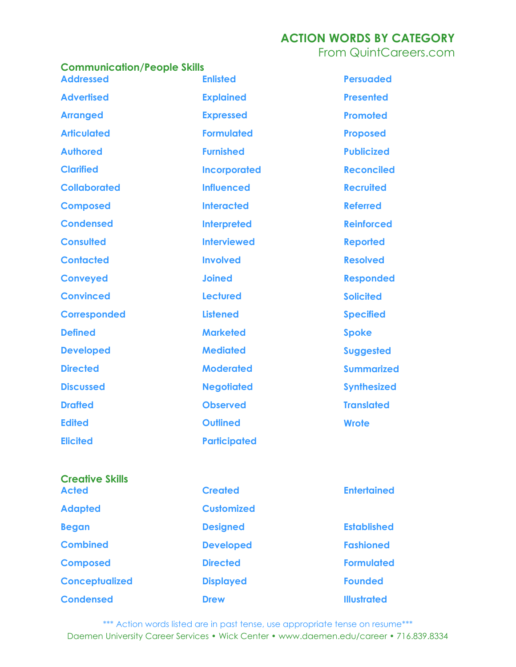From QuintCareers.com

| <b>Communication/People Skills</b> |                     |  |
|------------------------------------|---------------------|--|
| <b>Addressed</b>                   | <b>Enlisted</b>     |  |
| <b>Advertised</b>                  | <b>Explained</b>    |  |
| <b>Arranged</b>                    | <b>Expressed</b>    |  |
| <b>Articulated</b>                 | <b>Formulated</b>   |  |
| <b>Authored</b>                    | <b>Furnished</b>    |  |
| <b>Clarified</b>                   | <b>Incorporated</b> |  |
| <b>Collaborated</b>                | <b>Influenced</b>   |  |
| <b>Composed</b>                    | <b>Interacted</b>   |  |
| <b>Condensed</b>                   | <b>Interpreted</b>  |  |
| <b>Consulted</b>                   | <b>Interviewed</b>  |  |
| <b>Contacted</b>                   | <b>Involved</b>     |  |
| <b>Conveyed</b>                    | <b>Joined</b>       |  |
| <b>Convinced</b>                   | <b>Lectured</b>     |  |
| <b>Corresponded</b>                | <b>Listened</b>     |  |
| <b>Defined</b>                     | <b>Marketed</b>     |  |
| <b>Developed</b>                   | <b>Mediated</b>     |  |
| <b>Directed</b>                    | <b>Moderated</b>    |  |
| <b>Discussed</b>                   | <b>Negotiated</b>   |  |
| <b>Drafted</b>                     | <b>Observed</b>     |  |
| <b>Edited</b>                      | <b>Outlined</b>     |  |
| <b>Elicited</b>                    | <b>Participated</b> |  |

**Persuaded Presented Promoted Proposed Publicized Reconciled Recruited Referred Reinforced Reported Resolved Responded Solicited Specified Spoke Suggested Summarized Synthesized Translated Wrote**

| <b>Creative Skills</b><br><b>Acted</b> | <b>Created</b>    | <b>Entertained</b> |
|----------------------------------------|-------------------|--------------------|
| <b>Adapted</b>                         | <b>Customized</b> |                    |
| <b>Began</b>                           | <b>Designed</b>   | <b>Established</b> |
| <b>Combined</b>                        | <b>Developed</b>  | <b>Fashioned</b>   |
| <b>Composed</b>                        | <b>Directed</b>   | <b>Formulated</b>  |
| <b>Conceptualized</b>                  | <b>Displayed</b>  | <b>Founded</b>     |
| <b>Condensed</b>                       | <b>Drew</b>       | <b>Illustrated</b> |

\*\*\* Action words listed are in past tense, use appropriate tense on resume\*\*\* Daemen University Career Services • Wick Center • www.daemen.edu/career • 716.839.8334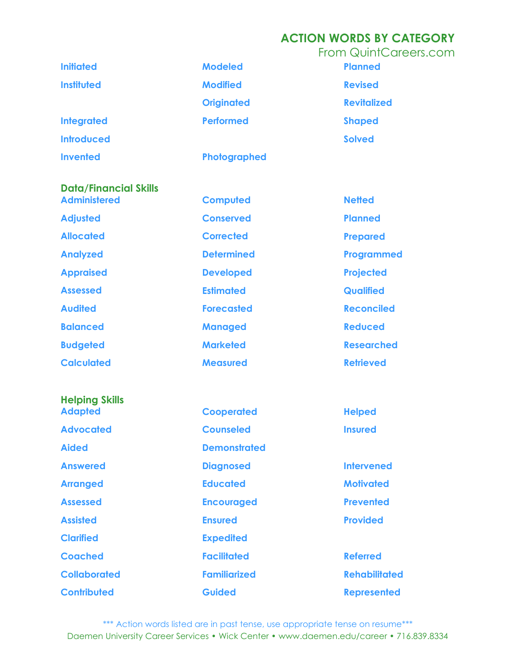| <b>Initiated</b>             | <b>Modeled</b>    | <b>From QuintCareers.com</b><br><b>Planned</b> |
|------------------------------|-------------------|------------------------------------------------|
| <b>Instituted</b>            | <b>Modified</b>   | <b>Revised</b>                                 |
|                              | <b>Originated</b> | <b>Revitalized</b>                             |
| <b>Integrated</b>            | <b>Performed</b>  | <b>Shaped</b>                                  |
| <b>Introduced</b>            |                   | <b>Solved</b>                                  |
| <b>Invented</b>              | Photographed      |                                                |
| <b>Data/Financial Skills</b> |                   |                                                |

**Administered Adjusted Allocated Analyzed Appraised Assessed Audited Balanced Budgeted Calculated**

# **Helping Skills Adapted Advocated Aided Answered Arranged Assessed Assisted**

**Clarified Coached Collaborated Contributed**

**Computed Conserved Corrected Determined Developed Estimated Forecasted Managed Marketed**

**Measured**

**Cooperated Counseled Demonstrated Diagnosed Educated Encouraged Ensured Expedited Facilitated Familiarized Guided**

**Netted Planned Prepared Programmed Projected Qualified Reconciled Reduced Researched Retrieved**

**Helped Insured**

**Intervened Motivated Prevented Provided**

**Referred Rehabilitated Represented**

\*\*\* Action words listed are in past tense, use appropriate tense on resume\*\*\* Daemen University Career Services • Wick Center • www.daemen.edu/career • 716.839.8334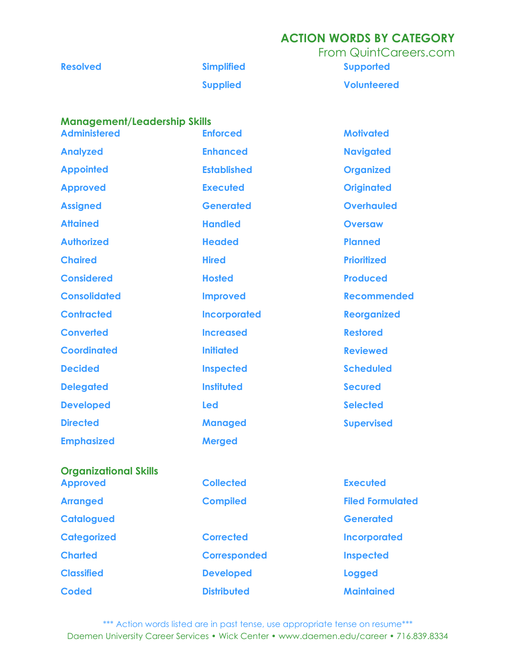|                 |                   | From QuintCareers.com |
|-----------------|-------------------|-----------------------|
| <b>Resolved</b> | <b>Simplified</b> | <b>Supported</b>      |
|                 | <b>Supplied</b>   | <b>Volunteered</b>    |

#### **Management/Leadership Skills**

**Classified**

**Coded**

| <b>Administered</b>          | <b>Enforced</b>     | <b>Motivated</b>        |
|------------------------------|---------------------|-------------------------|
| <b>Analyzed</b>              | <b>Enhanced</b>     | <b>Navigated</b>        |
| <b>Appointed</b>             | <b>Established</b>  | <b>Organized</b>        |
| <b>Approved</b>              | <b>Executed</b>     | <b>Originated</b>       |
| <b>Assigned</b>              | <b>Generated</b>    | <b>Overhauled</b>       |
| <b>Attained</b>              | <b>Handled</b>      | <b>Oversaw</b>          |
| <b>Authorized</b>            | <b>Headed</b>       | <b>Planned</b>          |
| <b>Chaired</b>               | <b>Hired</b>        | <b>Prioritized</b>      |
| <b>Considered</b>            | <b>Hosted</b>       | <b>Produced</b>         |
| <b>Consolidated</b>          | <b>Improved</b>     | <b>Recommended</b>      |
| <b>Contracted</b>            | <b>Incorporated</b> | <b>Reorganized</b>      |
| <b>Converted</b>             | <b>Increased</b>    | <b>Restored</b>         |
| <b>Coordinated</b>           | <b>Initiated</b>    | <b>Reviewed</b>         |
| <b>Decided</b>               | <b>Inspected</b>    | <b>Scheduled</b>        |
| <b>Delegated</b>             | <b>Instituted</b>   | <b>Secured</b>          |
| <b>Developed</b>             | Led                 | <b>Selected</b>         |
| <b>Directed</b>              | <b>Managed</b>      | <b>Supervised</b>       |
| <b>Emphasized</b>            | <b>Merged</b>       |                         |
| <b>Organizational Skills</b> |                     |                         |
| <b>Approved</b>              | <b>Collected</b>    | <b>Executed</b>         |
| <b>Arranged</b>              | <b>Compiled</b>     | <b>Filed Formulated</b> |
| <b>Catalogued</b>            |                     | <b>Generated</b>        |
| <b>Categorized</b>           | <b>Corrected</b>    | <b>Incorporated</b>     |
| <b>Charted</b>               | <b>Corresponded</b> | <b>Inspected</b>        |

\*\*\* Action words listed are in past tense, use appropriate tense on resume\*\*\* Daemen University Career Services • Wick Center • www.daemen.edu/career • 716.839.8334

**Logged**

**Maintained**

**Developed**

**Distributed**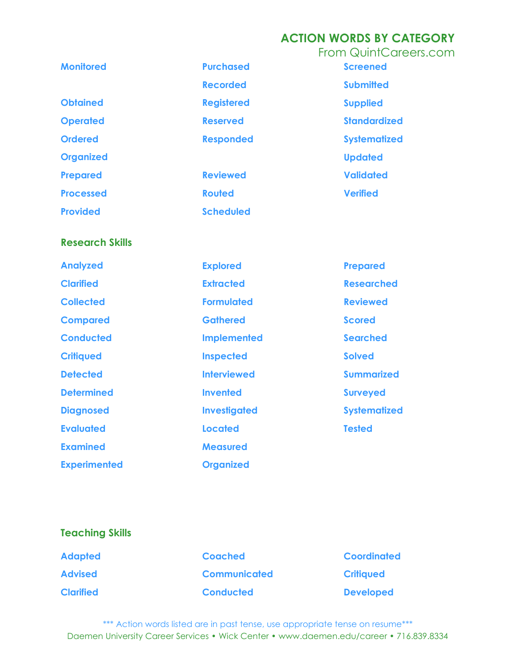|                  |                   | <b>From QuintCareers.com</b> |
|------------------|-------------------|------------------------------|
| <b>Monitored</b> | <b>Purchased</b>  | <b>Screened</b>              |
|                  | <b>Recorded</b>   | <b>Submitted</b>             |
| <b>Obtained</b>  | <b>Registered</b> | <b>Supplied</b>              |
| <b>Operated</b>  | <b>Reserved</b>   | <b>Standardized</b>          |
| <b>Ordered</b>   | <b>Responded</b>  | <b>Systematized</b>          |
| <b>Organized</b> |                   | <b>Updated</b>               |
| <b>Prepared</b>  | <b>Reviewed</b>   | <b>Validated</b>             |
| <b>Processed</b> | <b>Routed</b>     | <b>Verified</b>              |
| <b>Provided</b>  | <b>Scheduled</b>  |                              |
|                  |                   |                              |

#### **Research Skills**

| <b>Analyzed</b>     | <b>Explored</b>     | <b>Prepared</b>     |
|---------------------|---------------------|---------------------|
| <b>Clarified</b>    | <b>Extracted</b>    | <b>Researched</b>   |
| <b>Collected</b>    | <b>Formulated</b>   | <b>Reviewed</b>     |
| <b>Compared</b>     | <b>Gathered</b>     | <b>Scored</b>       |
| <b>Conducted</b>    | <b>Implemented</b>  | <b>Searched</b>     |
| <b>Critiqued</b>    | <b>Inspected</b>    | <b>Solved</b>       |
| <b>Detected</b>     | <b>Interviewed</b>  | <b>Summarized</b>   |
| <b>Determined</b>   | <b>Invented</b>     | <b>Surveyed</b>     |
| <b>Diagnosed</b>    | <b>Investigated</b> | <b>Systematized</b> |
| <b>Evaluated</b>    | Located             | <b>Tested</b>       |
| <b>Examined</b>     | <b>Measured</b>     |                     |
| <b>Experimented</b> | <b>Organized</b>    |                     |

#### **Teaching Skills**

| <b>Adapted</b>   |  |
|------------------|--|
| <b>Advised</b>   |  |
| <b>Clarified</b> |  |

**Coached Communicated Conducted**

**Coordinated Critiqued Developed**

\*\*\* Action words listed are in past tense, use appropriate tense on resume\*\*\* Daemen University Career Services • Wick Center • www.daemen.edu/career • 716.839.8334